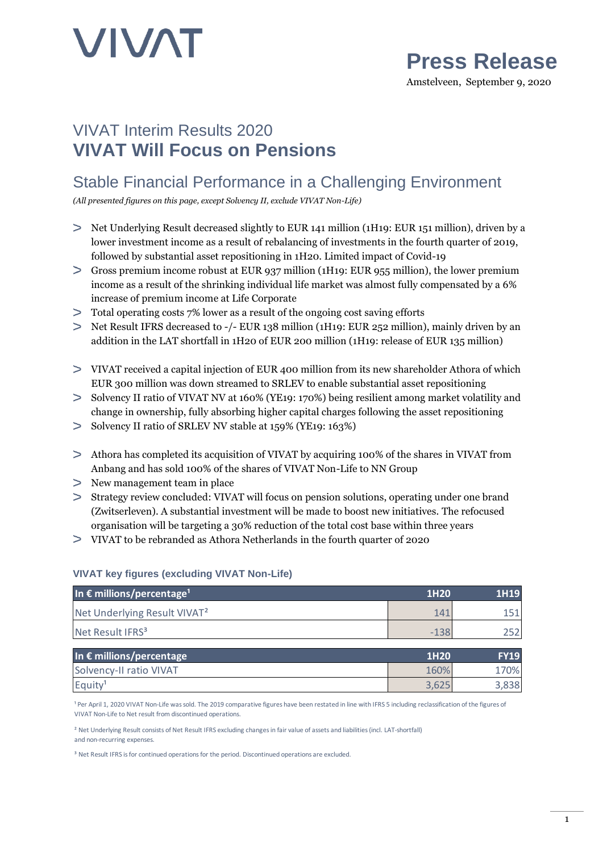

## **Press Release**

Amstelveen, September 9, 2020

## VIVAT Interim Results 2020 **VIVAT Will Focus on Pensions**

### Stable Financial Performance in a Challenging Environment

*(All presented figures on this page, except Solvency II, exclude VIVAT Non-Life)*

- Net Underlying Result decreased slightly to EUR 141 million (1H19: EUR 151 million), driven by a lower investment income as a result of rebalancing of investments in the fourth quarter of 2019, followed by substantial asset repositioning in 1H20. Limited impact of Covid-19
- Gross premium income robust at EUR 937 million (1H19: EUR 955 million), the lower premium income as a result of the shrinking individual life market was almost fully compensated by a 6% increase of premium income at Life Corporate
- Total operating costs 7% lower as a result of the ongoing cost saving efforts
- Net Result IFRS decreased to -/- EUR 138 million (1H19: EUR 252 million), mainly driven by an addition in the LAT shortfall in 1H20 of EUR 200 million (1H19: release of EUR 135 million)
- VIVAT received a capital injection of EUR 400 million from its new shareholder Athora of which EUR 300 million was down streamed to SRLEV to enable substantial asset repositioning
- Solvency II ratio of VIVAT NV at 160% (YE19: 170%) being resilient among market volatility and change in ownership, fully absorbing higher capital charges following the asset repositioning
- Solvency II ratio of SRLEV NV stable at 159% (YE19: 163%)
- Athora has completed its acquisition of VIVAT by acquiring 100% of the shares in VIVAT from Anbang and has sold 100% of the shares of VIVAT Non-Life to NN Group
- New management team in place
- Strategy review concluded: VIVAT will focus on pension solutions, operating under one brand (Zwitserleven). A substantial investment will be made to boost new initiatives. The refocused organisation will be targeting a 30% reduction of the total cost base within three years
- VIVAT to be rebranded as Athora Netherlands in the fourth quarter of 2020

#### **VIVAT key figures (excluding VIVAT Non-Life)**

| In $\epsilon$ millions/percentage <sup>1</sup> | 1H <sub>20</sub> | 1H19 |
|------------------------------------------------|------------------|------|
| Net Underlying Result VIVAT <sup>2</sup>       | 141              |      |
| Net Result IFRS <sup>3</sup>                   | $-138$           |      |
|                                                |                  |      |

| In $\epsilon$ millions/percentage | 1H <sub>20</sub> | <b>FY19</b> |
|-----------------------------------|------------------|-------------|
| Solvency-II ratio VIVAT           | 160%             | 70%         |
| Equity <sup>1</sup>               | 3.625            | 3,838       |

<sup>1</sup> Per April 1, 2020 VIVAT Non-Life was sold. The 2019 comparative figures have been restated in line with IFRS 5 including reclassification of the figures of VIVAT Non-Life to Net result from discontinued operations.

² Net Underlying Result consists of Net Result IFRS excluding changes in fair value of assets and liabilities (incl. LAT-shortfall) and non-recurring expenses.

<sup>3</sup> Net Result IFRS is for continued operations for the period. Discontinued operations are excluded.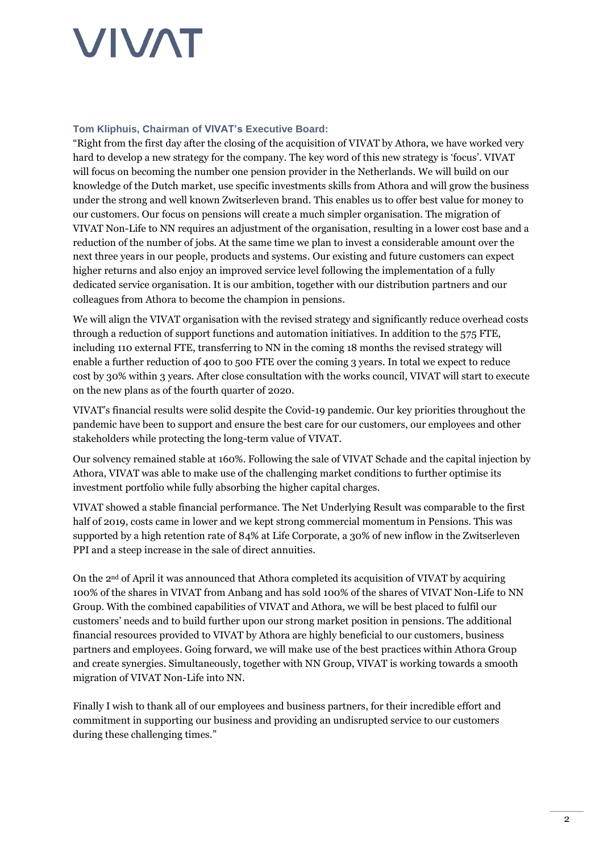#### **Tom Kliphuis, Chairman of VIVAT's Executive Board:**

"Right from the first day after the closing of the acquisition of VIVAT by Athora, we have worked very hard to develop a new strategy for the company. The key word of this new strategy is 'focus'. VIVAT will focus on becoming the number one pension provider in the Netherlands. We will build on our knowledge of the Dutch market, use specific investments skills from Athora and will grow the business under the strong and well known Zwitserleven brand. This enables us to offer best value for money to our customers. Our focus on pensions will create a much simpler organisation. The migration of VIVAT Non-Life to NN requires an adjustment of the organisation, resulting in a lower cost base and a reduction of the number of jobs. At the same time we plan to invest a considerable amount over the next three years in our people, products and systems. Our existing and future customers can expect higher returns and also enjoy an improved service level following the implementation of a fully dedicated service organisation. It is our ambition, together with our distribution partners and our colleagues from Athora to become the champion in pensions.

We will align the VIVAT organisation with the revised strategy and significantly reduce overhead costs through a reduction of support functions and automation initiatives. In addition to the 575 FTE, including 110 external FTE, transferring to NN in the coming 18 months the revised strategy will enable a further reduction of 400 to 500 FTE over the coming 3 years. In total we expect to reduce cost by 30% within 3 years. After close consultation with the works council, VIVAT will start to execute on the new plans as of the fourth quarter of 2020.

VIVAT's financial results were solid despite the Covid-19 pandemic. Our key priorities throughout the pandemic have been to support and ensure the best care for our customers, our employees and other stakeholders while protecting the long-term value of VIVAT.

Our solvency remained stable at 160%. Following the sale of VIVAT Schade and the capital injection by Athora, VIVAT was able to make use of the challenging market conditions to further optimise its investment portfolio while fully absorbing the higher capital charges.

VIVAT showed a stable financial performance. The Net Underlying Result was comparable to the first half of 2019, costs came in lower and we kept strong commercial momentum in Pensions. This was supported by a high retention rate of 84% at Life Corporate, a 30% of new inflow in the Zwitserleven PPI and a steep increase in the sale of direct annuities.

On the 2nd of April it was announced that Athora completed its acquisition of VIVAT by acquiring 100% of the shares in VIVAT from Anbang and has sold 100% of the shares of VIVAT Non-Life to NN Group. With the combined capabilities of VIVAT and Athora, we will be best placed to fulfil our customers' needs and to build further upon our strong market position in pensions. The additional financial resources provided to VIVAT by Athora are highly beneficial to our customers, business partners and employees. Going forward, we will make use of the best practices within Athora Group and create synergies. Simultaneously, together with NN Group, VIVAT is working towards a smooth migration of VIVAT Non-Life into NN.

Finally I wish to thank all of our employees and business partners, for their incredible effort and commitment in supporting our business and providing an undisrupted service to our customers during these challenging times."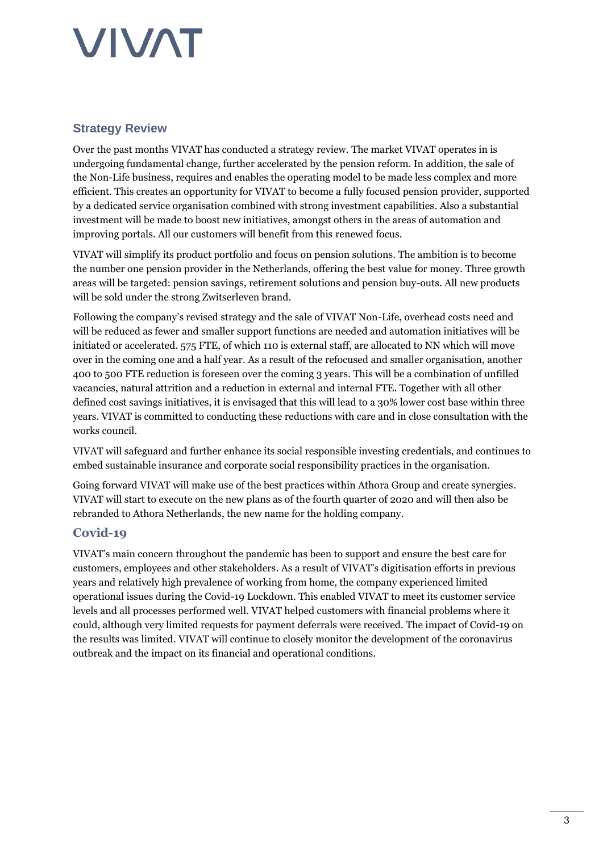### **Strategy Review**

Over the past months VIVAT has conducted a strategy review. The market VIVAT operates in is undergoing fundamental change, further accelerated by the pension reform. In addition, the sale of the Non-Life business, requires and enables the operating model to be made less complex and more efficient. This creates an opportunity for VIVAT to become a fully focused pension provider, supported by a dedicated service organisation combined with strong investment capabilities. Also a substantial investment will be made to boost new initiatives, amongst others in the areas of automation and improving portals. All our customers will benefit from this renewed focus.

VIVAT will simplify its product portfolio and focus on pension solutions. The ambition is to become the number one pension provider in the Netherlands, offering the best value for money. Three growth areas will be targeted: pension savings, retirement solutions and pension buy-outs. All new products will be sold under the strong Zwitserleven brand.

Following the company's revised strategy and the sale of VIVAT Non-Life, overhead costs need and will be reduced as fewer and smaller support functions are needed and automation initiatives will be initiated or accelerated. 575 FTE, of which 110 is external staff, are allocated to NN which will move over in the coming one and a half year. As a result of the refocused and smaller organisation, another 400 to 500 FTE reduction is foreseen over the coming 3 years. This will be a combination of unfilled vacancies, natural attrition and a reduction in external and internal FTE. Together with all other defined cost savings initiatives, it is envisaged that this will lead to a 30% lower cost base within three years. VIVAT is committed to conducting these reductions with care and in close consultation with the works council.

VIVAT will safeguard and further enhance its social responsible investing credentials, and continues to embed sustainable insurance and corporate social responsibility practices in the organisation.

Going forward VIVAT will make use of the best practices within Athora Group and create synergies. VIVAT will start to execute on the new plans as of the fourth quarter of 2020 and will then also be rebranded to Athora Netherlands, the new name for the holding company.

### **Covid-19**

VIVAT's main concern throughout the pandemic has been to support and ensure the best care for customers, employees and other stakeholders. As a result of VIVAT's digitisation efforts in previous years and relatively high prevalence of working from home, the company experienced limited operational issues during the Covid-19 Lockdown. This enabled VIVAT to meet its customer service levels and all processes performed well. VIVAT helped customers with financial problems where it could, although very limited requests for payment deferrals were received. The impact of Covid-19 on the results was limited. VIVAT will continue to closely monitor the development of the coronavirus outbreak and the impact on its financial and operational conditions.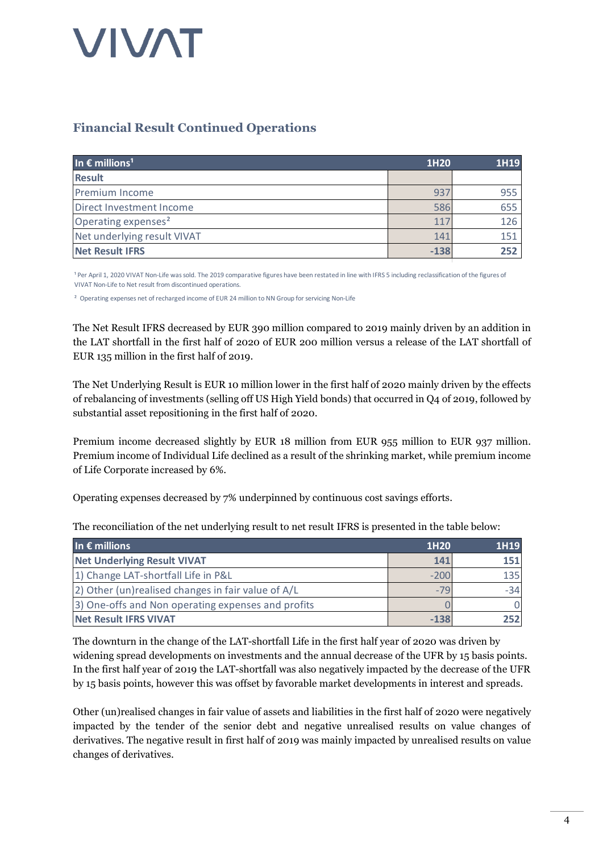### **Financial Result Continued Operations**

| In $\epsilon$ millions <sup>1</sup> | 1H20   | 1H19 |
|-------------------------------------|--------|------|
| <b>Result</b>                       |        |      |
| <b>Premium Income</b>               | 937    | 955  |
| Direct Investment Income            | 586    | 655  |
| Operating expenses <sup>2</sup>     | 117    | 126  |
| Net underlying result VIVAT         | 141    | 151  |
| <b>Net Result IFRS</b>              | $-138$ | 252  |

<sup>1</sup> Per April 1, 2020 VIVAT Non-Life was sold. The 2019 comparative figures have been restated in line with IFRS 5 including reclassification of the figures of<br>VIVAT Non-Life to Net result from discontinued operations.<br><sup>2</sup> VIVAT Non-Life to Net result from discontinued operations.

The Net Result IFRS decreased by EUR 390 million compared to 2019 mainly driven by an addition in the LAT shortfall in the first half of 2020 of EUR 200 million versus a release of the LAT shortfall of EUR 135 million in the first half of 2019.

The Net Underlying Result is EUR 10 million lower in the first half of 2020 mainly driven by the effects of rebalancing of investments (selling off US High Yield bonds) that occurred in Q4 of 2019, followed by substantial asset repositioning in the first half of 2020.

Premium income decreased slightly by EUR 18 million from EUR 955 million to EUR 937 million. Premium income of Individual Life declined as a result of the shrinking market, while premium income of Life Corporate increased by 6%.

Operating expenses decreased by 7% underpinned by continuous cost savings efforts.

The reconciliation of the net underlying result to net result IFRS is presented in the table below:

| In $\epsilon$ millions                             | 1H <sub>20</sub> | 1H19  |
|----------------------------------------------------|------------------|-------|
| <b>Net Underlying Result VIVAT</b>                 | 141              | 151   |
| 1) Change LAT-shortfall Life in P&L                | $-200$           | 135   |
| 2) Other (un)realised changes in fair value of A/L | $-79$            | $-34$ |
| 3) One-offs and Non operating expenses and profits |                  |       |
| <b>Net Result IFRS VIVAT</b>                       | $-138$           | 252   |

The downturn in the change of the LAT-shortfall Life in the first half year of 2020 was driven by widening spread developments on investments and the annual decrease of the UFR by 15 basis points. In the first half year of 2019 the LAT-shortfall was also negatively impacted by the decrease of the UFR by 15 basis points, however this was offset by favorable market developments in interest and spreads.

Other (un)realised changes in fair value of assets and liabilities in the first half of 2020 were negatively impacted by the tender of the senior debt and negative unrealised results on value changes of derivatives. The negative result in first half of 2019 was mainly impacted by unrealised results on value changes of derivatives.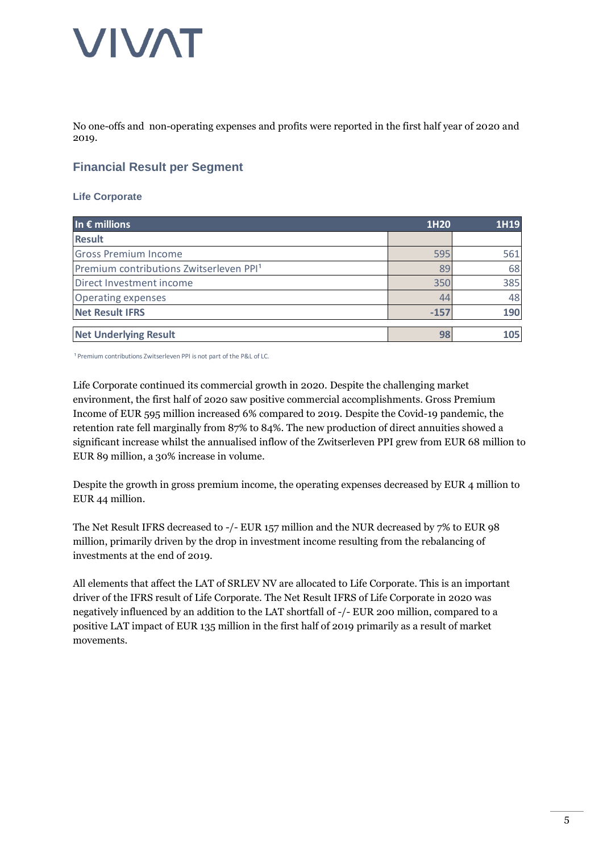No one-offs and non-operating expenses and profits were reported in the first half year of 2020 and 2019.

### **Financial Result per Segment**

#### **Life Corporate**

| In $\epsilon$ millions                              | 1H20   | 1H19 |
|-----------------------------------------------------|--------|------|
| <b>Result</b>                                       |        |      |
| <b>Gross Premium Income</b>                         | 595    | 561  |
| Premium contributions Zwitserleven PPI <sup>1</sup> | 89     | 68   |
| Direct Investment income                            | 350    | 385  |
| <b>Operating expenses</b>                           | 44     | 48   |
| <b>Net Result IFRS</b>                              | $-157$ | 190  |
| <b>Net Underlying Result</b>                        | 98     | 105  |

<sup>1</sup> Premium contributions Zwitserleven PPI is not part of the P&L of LC.

Life Corporate continued its commercial growth in 2020. Despite the challenging market environment, the first half of 2020 saw positive commercial accomplishments. Gross Premium Income of EUR 595 million increased 6% compared to 2019. Despite the Covid-19 pandemic, the retention rate fell marginally from 87% to 84%. The new production of direct annuities showed a significant increase whilst the annualised inflow of the Zwitserleven PPI grew from EUR 68 million to EUR 89 million, a 30% increase in volume.

Despite the growth in gross premium income, the operating expenses decreased by EUR 4 million to EUR 44 million.

The Net Result IFRS decreased to -/- EUR 157 million and the NUR decreased by 7% to EUR 98 million, primarily driven by the drop in investment income resulting from the rebalancing of investments at the end of 2019.

All elements that affect the LAT of SRLEV NV are allocated to Life Corporate. This is an important driver of the IFRS result of Life Corporate. The Net Result IFRS of Life Corporate in 2020 was negatively influenced by an addition to the LAT shortfall of -/- EUR 200 million, compared to a positive LAT impact of EUR 135 million in the first half of 2019 primarily as a result of market movements.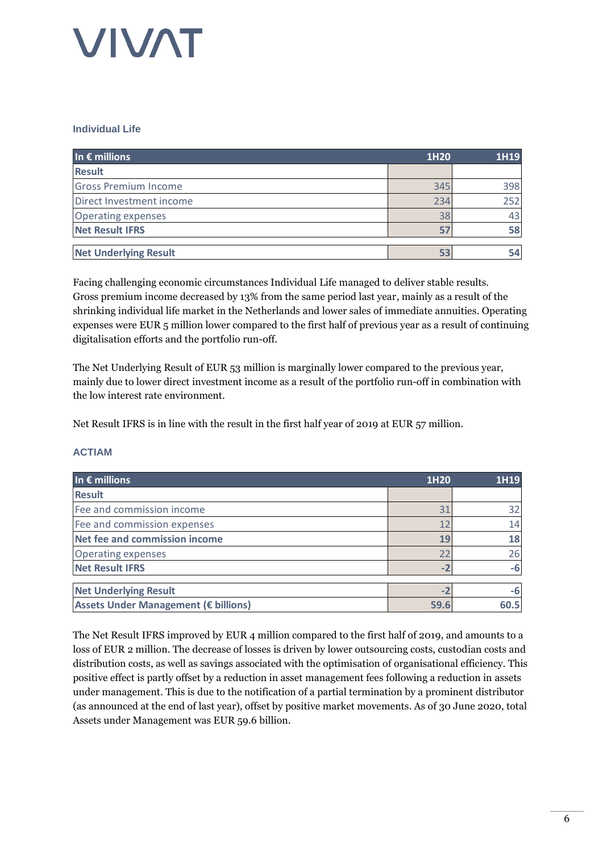#### **Individual Life**

| In $\epsilon$ millions       | 1H20 | 1H19 |
|------------------------------|------|------|
| <b>Result</b>                |      |      |
| <b>Gross Premium Income</b>  | 345  | 398  |
| Direct Investment income     | 234  | 252  |
| <b>Operating expenses</b>    | 38   | 43   |
| <b>Net Result IFRS</b>       | 57   | 58   |
| <b>Net Underlying Result</b> | 53   | 54   |

Facing challenging economic circumstances Individual Life managed to deliver stable results. Gross premium income decreased by 13% from the same period last year, mainly as a result of the shrinking individual life market in the Netherlands and lower sales of immediate annuities. Operating expenses were EUR 5 million lower compared to the first half of previous year as a result of continuing digitalisation efforts and the portfolio run-off.

The Net Underlying Result of EUR 53 million is marginally lower compared to the previous year, mainly due to lower direct investment income as a result of the portfolio run-off in combination with the low interest rate environment.

Net Result IFRS is in line with the result in the first half year of 2019 at EUR 57 million.

#### **ACTIAM**

| In $\epsilon$ millions               | 1H20 | 1H19 |
|--------------------------------------|------|------|
| <b>Result</b>                        |      |      |
| Fee and commission income            | 31   | 32   |
| Fee and commission expenses          | 12   | 14   |
| Net fee and commission income        | 19   | 18   |
| <b>Operating expenses</b>            | 22   | 26   |
| <b>Net Result IFRS</b>               | $-2$ | -6   |
| <b>Net Underlying Result</b>         | $-2$ | -6   |
| Assets Under Management (€ billions) | 59.6 | 60.5 |

The Net Result IFRS improved by EUR 4 million compared to the first half of 2019, and amounts to a loss of EUR 2 million. The decrease of losses is driven by lower outsourcing costs, custodian costs and distribution costs, as well as savings associated with the optimisation of organisational efficiency. This positive effect is partly offset by a reduction in asset management fees following a reduction in assets under management. This is due to the notification of a partial termination by a prominent distributor (as announced at the end of last year), offset by positive market movements. As of 30 June 2020, total Assets under Management was EUR 59.6 billion.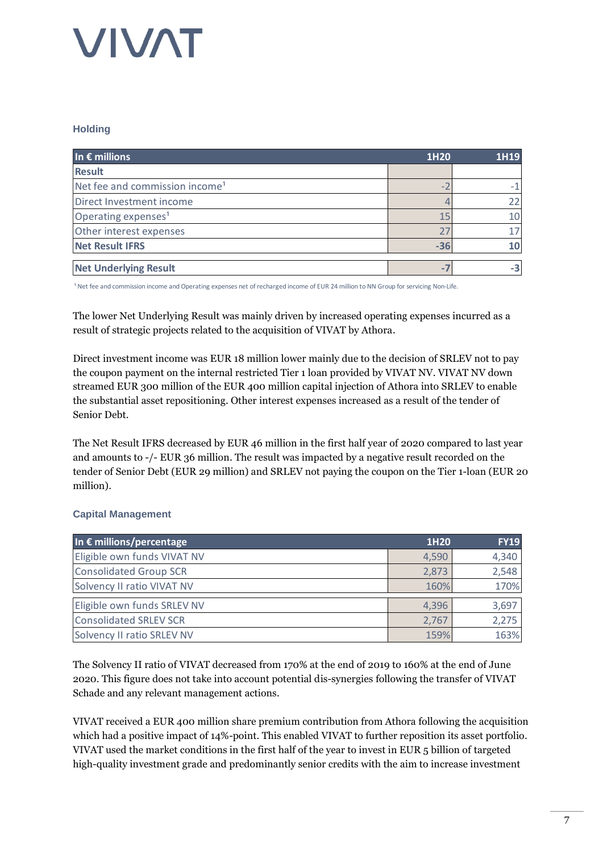#### **Holding**

| In $\epsilon$ millions                     | 1H20  | 1H19 |
|--------------------------------------------|-------|------|
| <b>Result</b>                              |       |      |
| Net fee and commission income <sup>1</sup> |       |      |
| Direct Investment income                   |       |      |
| Operating expenses <sup>1</sup>            | 15    | 10   |
| Other interest expenses                    |       |      |
| <b>Net Result IFRS</b>                     | $-36$ | 10   |
|                                            |       |      |
| <b>Net Underlying Result</b>               |       |      |

<sup>1</sup> Net fee and commission income and Operating expenses net of recharged income of EUR 24 million to NN Group for servicing Non-Life.

The lower Net Underlying Result was mainly driven by increased operating expenses incurred as a result of strategic projects related to the acquisition of VIVAT by Athora.

Direct investment income was EUR 18 million lower mainly due to the decision of SRLEV not to pay the coupon payment on the internal restricted Tier 1 loan provided by VIVAT NV. VIVAT NV down streamed EUR 300 million of the EUR 400 million capital injection of Athora into SRLEV to enable the substantial asset repositioning. Other interest expenses increased as a result of the tender of Senior Debt.

The Net Result IFRS decreased by EUR 46 million in the first half year of 2020 compared to last year and amounts to -/- EUR 36 million. The result was impacted by a negative result recorded on the tender of Senior Debt (EUR 29 million) and SRLEV not paying the coupon on the Tier 1-loan (EUR 20 million).

### **Capital Management**

| In $\epsilon$ millions/percentage | 1H <sub>20</sub> | <b>FY19</b> |
|-----------------------------------|------------------|-------------|
| Eligible own funds VIVAT NV       | 4,590            | 4,340       |
| <b>Consolidated Group SCR</b>     | 2,873            | 2,548       |
| Solvency II ratio VIVAT NV        | 160%             | 170%        |
| Eligible own funds SRLEV NV       | 4,396            | 3,697       |
| <b>Consolidated SRLEV SCR</b>     | 2,767            | 2,275       |
| Solvency II ratio SRLEV NV        | 159%             | 163%        |

The Solvency II ratio of VIVAT decreased from 170% at the end of 2019 to 160% at the end of June 2020. This figure does not take into account potential dis-synergies following the transfer of VIVAT Schade and any relevant management actions.

VIVAT received a EUR 400 million share premium contribution from Athora following the acquisition which had a positive impact of 14%-point. This enabled VIVAT to further reposition its asset portfolio. VIVAT used the market conditions in the first half of the year to invest in EUR 5 billion of targeted high-quality investment grade and predominantly senior credits with the aim to increase investment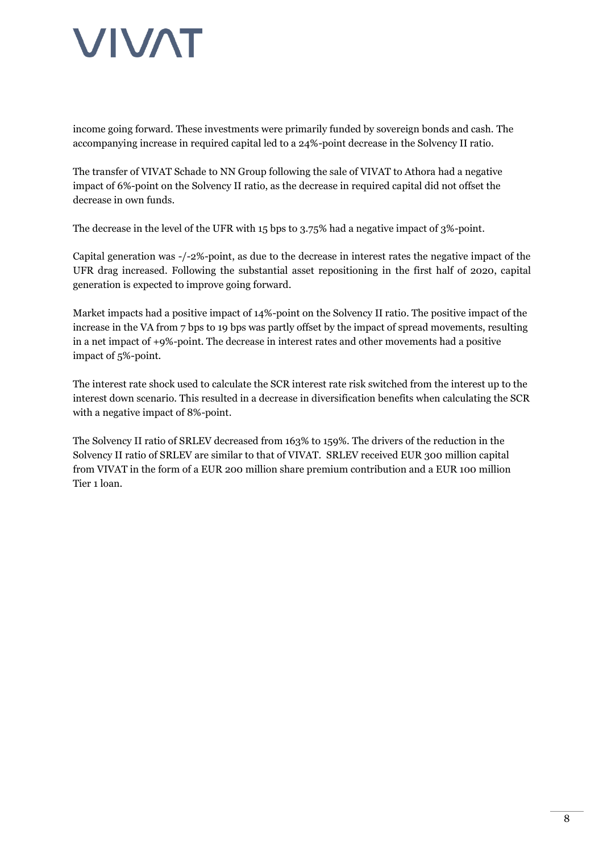income going forward. These investments were primarily funded by sovereign bonds and cash. The accompanying increase in required capital led to a 24%-point decrease in the Solvency II ratio.

The transfer of VIVAT Schade to NN Group following the sale of VIVAT to Athora had a negative impact of 6%-point on the Solvency II ratio, as the decrease in required capital did not offset the decrease in own funds.

The decrease in the level of the UFR with 15 bps to 3.75% had a negative impact of 3%-point.

Capital generation was -/-2%-point, as due to the decrease in interest rates the negative impact of the UFR drag increased. Following the substantial asset repositioning in the first half of 2020, capital generation is expected to improve going forward.

Market impacts had a positive impact of 14%-point on the Solvency II ratio. The positive impact of the increase in the VA from 7 bps to 19 bps was partly offset by the impact of spread movements, resulting in a net impact of +9%-point. The decrease in interest rates and other movements had a positive impact of 5%-point.

The interest rate shock used to calculate the SCR interest rate risk switched from the interest up to the interest down scenario. This resulted in a decrease in diversification benefits when calculating the SCR with a negative impact of 8%-point.

The Solvency II ratio of SRLEV decreased from 163% to 159%. The drivers of the reduction in the Solvency II ratio of SRLEV are similar to that of VIVAT. SRLEV received EUR 300 million capital from VIVAT in the form of a EUR 200 million share premium contribution and a EUR 100 million Tier 1 loan.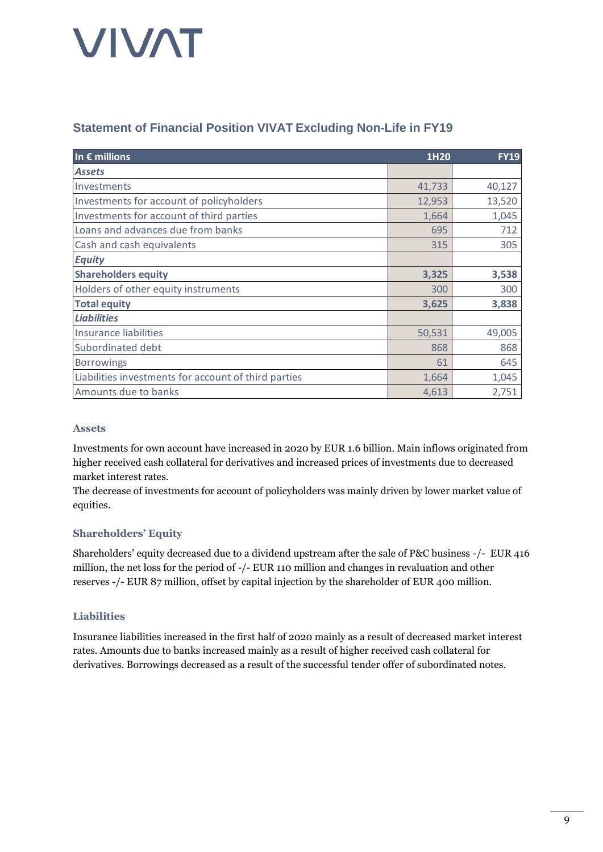### **Statement of Financial Position VIVAT Excluding Non-Life in FY19**

| In $\epsilon$ millions                               | 1H20   | <b>FY19</b> |
|------------------------------------------------------|--------|-------------|
| <b>Assets</b>                                        |        |             |
| Investments                                          | 41,733 | 40,127      |
| Investments for account of policyholders             | 12,953 | 13,520      |
| Investments for account of third parties             | 1,664  | 1,045       |
| Loans and advances due from banks                    | 695    | 712         |
| Cash and cash equivalents                            | 315    | 305         |
| <b>Equity</b>                                        |        |             |
| <b>Shareholders equity</b>                           | 3,325  | 3,538       |
| Holders of other equity instruments                  | 300    | 300         |
| <b>Total equity</b>                                  | 3,625  | 3,838       |
| <b>Liabilities</b>                                   |        |             |
| <b>Insurance liabilities</b>                         | 50,531 | 49,005      |
| Subordinated debt                                    | 868    | 868         |
| <b>Borrowings</b>                                    | 61     | 645         |
| Liabilities investments for account of third parties | 1,664  | 1,045       |
| Amounts due to banks                                 | 4,613  | 2,751       |

#### **Assets**

Investments for own account have increased in 2020 by EUR 1.6 billion. Main inflows originated from higher received cash collateral for derivatives and increased prices of investments due to decreased market interest rates.

The decrease of investments for account of policyholders was mainly driven by lower market value of equities.

### **Shareholders' Equity**

Shareholders' equity decreased due to a dividend upstream after the sale of P&C business -/- EUR 416 million, the net loss for the period of -/- EUR 110 million and changes in revaluation and other reserves -/- EUR 87 million, offset by capital injection by the shareholder of EUR 400 million.

### **Liabilities**

Insurance liabilities increased in the first half of 2020 mainly as a result of decreased market interest rates. Amounts due to banks increased mainly as a result of higher received cash collateral for derivatives. Borrowings decreased as a result of the successful tender offer of subordinated notes.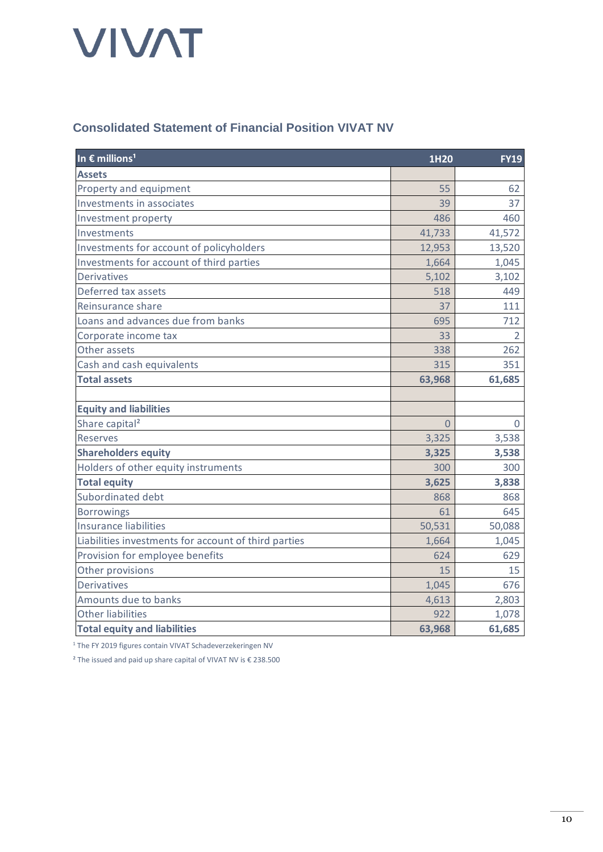### **Consolidated Statement of Financial Position VIVAT NV**

| In $\epsilon$ millions <sup>1</sup>                  | 1H20     | <b>FY19</b>    |
|------------------------------------------------------|----------|----------------|
| <b>Assets</b>                                        |          |                |
| Property and equipment                               | 55       | 62             |
| Investments in associates                            | 39       | 37             |
| Investment property                                  | 486      | 460            |
| Investments                                          | 41,733   | 41,572         |
| Investments for account of policyholders             | 12,953   | 13,520         |
| Investments for account of third parties             | 1,664    | 1,045          |
| <b>Derivatives</b>                                   | 5,102    | 3,102          |
| Deferred tax assets                                  | 518      | 449            |
| Reinsurance share                                    | 37       | 111            |
| Loans and advances due from banks                    | 695      | 712            |
| Corporate income tax                                 | 33       | $\overline{2}$ |
| Other assets                                         | 338      | 262            |
| Cash and cash equivalents                            | 315      | 351            |
| <b>Total assets</b>                                  | 63,968   | 61,685         |
|                                                      |          |                |
| <b>Equity and liabilities</b>                        |          |                |
| Share capital <sup>2</sup>                           | $\Omega$ | 0              |
| <b>Reserves</b>                                      | 3,325    | 3,538          |
| <b>Shareholders equity</b>                           | 3,325    | 3,538          |
| Holders of other equity instruments                  | 300      | 300            |
| <b>Total equity</b>                                  | 3,625    | 3,838          |
| Subordinated debt                                    | 868      | 868            |
| <b>Borrowings</b>                                    | 61       | 645            |
| <b>Insurance liabilities</b>                         | 50,531   | 50,088         |
| Liabilities investments for account of third parties | 1,664    | 1,045          |
| Provision for employee benefits                      | 624      | 629            |
| Other provisions                                     | 15       | 15             |
| <b>Derivatives</b>                                   | 1,045    | 676            |
| Amounts due to banks                                 | 4,613    | 2,803          |
| <b>Other liabilities</b>                             | 922      | 1,078          |
| <b>Total equity and liabilities</b>                  | 63,968   | 61,685         |

<sup>1</sup> The FY 2019 figures contain VIVAT Schadeverzekeringen NV

<sup>2</sup> The issued and paid up share capital of VIVAT NV is  $\epsilon$  238.500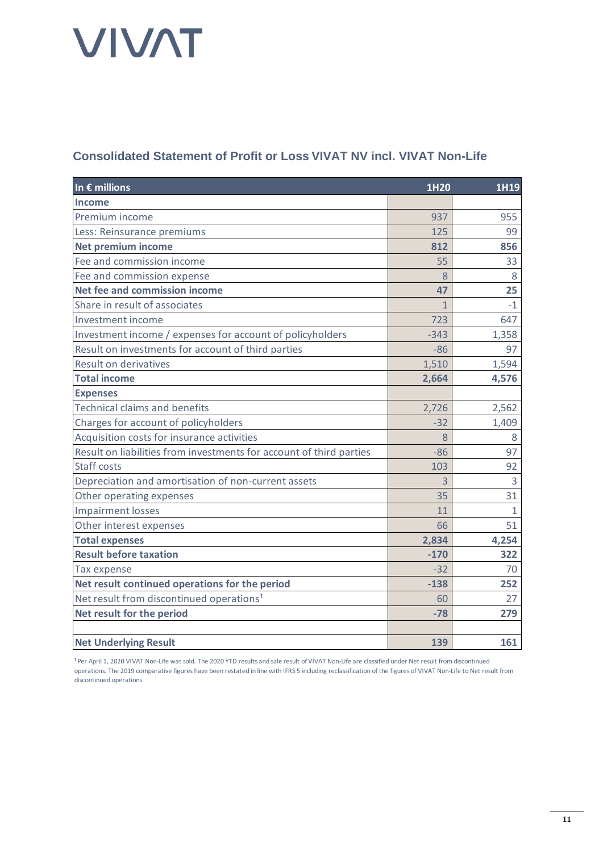### **Consolidated Statement of Profit or Loss VIVAT NV incl. VIVAT Non-Life**

| In $\epsilon$ millions                                              | 1H20         | 1H19           |
|---------------------------------------------------------------------|--------------|----------------|
| Income                                                              |              |                |
| Premium income                                                      | 937          | 955            |
| Less: Reinsurance premiums                                          | 125          | 99             |
| <b>Net premium income</b>                                           | 812          | 856            |
| Fee and commission income                                           | 55           | 33             |
| Fee and commission expense                                          | 8            | 8              |
| Net fee and commission income                                       | 47           | 25             |
| Share in result of associates                                       | $\mathbf{1}$ | $-1$           |
| Investment income                                                   | 723          | 647            |
| Investment income / expenses for account of policyholders           | $-343$       | 1,358          |
| Result on investments for account of third parties                  | $-86$        | 97             |
| Result on derivatives                                               | 1,510        | 1,594          |
| <b>Total income</b>                                                 | 2,664        | 4,576          |
| <b>Expenses</b>                                                     |              |                |
| <b>Technical claims and benefits</b>                                | 2,726        | 2,562          |
| Charges for account of policyholders                                | $-32$        | 1,409          |
| Acquisition costs for insurance activities                          | 8            | 8              |
| Result on liabilities from investments for account of third parties | $-86$        | 97             |
| <b>Staff costs</b>                                                  | 103          | 92             |
| Depreciation and amortisation of non-current assets                 | 3            | $\overline{3}$ |
| Other operating expenses                                            | 35           | 31             |
| <b>Impairment losses</b>                                            | 11           | $\mathbf{1}$   |
| Other interest expenses                                             | 66           | 51             |
| <b>Total expenses</b>                                               | 2,834        | 4,254          |
| <b>Result before taxation</b>                                       | $-170$       | 322            |
| Tax expense                                                         | $-32$        | 70             |
| Net result continued operations for the period                      | $-138$       | 252            |
| Net result from discontinued operations <sup>1</sup>                | 60           | 27             |
| Net result for the period                                           | $-78$        | 279            |
|                                                                     |              |                |
| <b>Net Underlying Result</b>                                        | 139          | 161            |

<sup>1</sup> Per April 1, 2020 VIVAT Non-Life was sold. The 2020 YTD results and sale result of VIVAT Non-Life are classified under Net result from discontinued operations. The 2019 comparative figures have been restated in line with IFRS 5 including reclassification of the figures of VIVAT Non-Life to Net result from discontinued operations.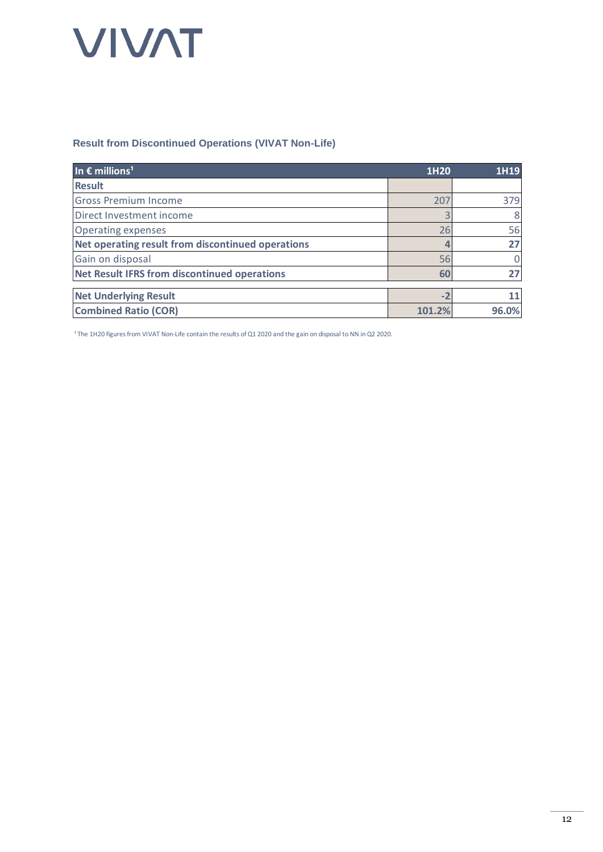#### **Result from Discontinued Operations (VIVAT Non-Life)**

| In $\epsilon$ millions <sup>1</sup>                 | 1H20   | 1H19  |
|-----------------------------------------------------|--------|-------|
| <b>Result</b>                                       |        |       |
| <b>Gross Premium Income</b>                         | 207    | 379   |
| Direct Investment income                            |        | 8     |
| <b>Operating expenses</b>                           | 26     | 56    |
| Net operating result from discontinued operations   | 4      | 27    |
| Gain on disposal                                    | 56     | 0     |
| <b>Net Result IFRS from discontinued operations</b> | 60     |       |
|                                                     |        |       |
| <b>Net Underlying Result</b>                        | $-2$   |       |
| <b>Combined Ratio (COR)</b>                         | 101.2% | 96.0% |

<sup>1</sup> The 1H20 figures from VIVAT Non-Life contain the results of Q1 2020 and the gain on disposal to NN in Q2 2020.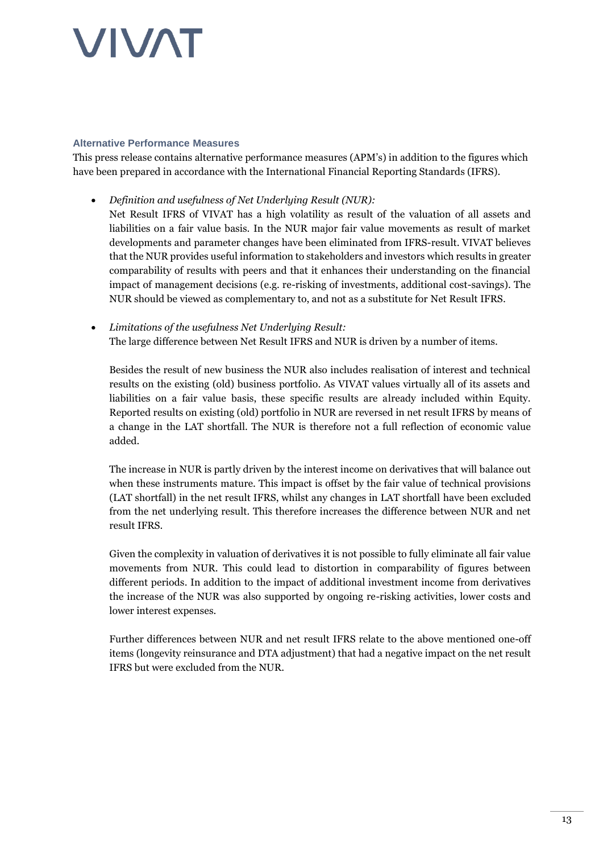#### **Alternative Performance Measures**

This press release contains alternative performance measures (APM's) in addition to the figures which have been prepared in accordance with the International Financial Reporting Standards (IFRS).

- *Definition and usefulness of Net Underlying Result (NUR):* Net Result IFRS of VIVAT has a high volatility as result of the valuation of all assets and liabilities on a fair value basis. In the NUR major fair value movements as result of market developments and parameter changes have been eliminated from IFRS-result. VIVAT believes that the NUR provides useful information to stakeholders and investors which results in greater comparability of results with peers and that it enhances their understanding on the financial impact of management decisions (e.g. re-risking of investments, additional cost-savings). The NUR should be viewed as complementary to, and not as a substitute for Net Result IFRS.
- *Limitations of the usefulness Net Underlying Result:* The large difference between Net Result IFRS and NUR is driven by a number of items.

Besides the result of new business the NUR also includes realisation of interest and technical results on the existing (old) business portfolio. As VIVAT values virtually all of its assets and liabilities on a fair value basis, these specific results are already included within Equity. Reported results on existing (old) portfolio in NUR are reversed in net result IFRS by means of a change in the LAT shortfall. The NUR is therefore not a full reflection of economic value added.

The increase in NUR is partly driven by the interest income on derivatives that will balance out when these instruments mature. This impact is offset by the fair value of technical provisions (LAT shortfall) in the net result IFRS, whilst any changes in LAT shortfall have been excluded from the net underlying result. This therefore increases the difference between NUR and net result IFRS.

Given the complexity in valuation of derivatives it is not possible to fully eliminate all fair value movements from NUR. This could lead to distortion in comparability of figures between different periods. In addition to the impact of additional investment income from derivatives the increase of the NUR was also supported by ongoing re-risking activities, lower costs and lower interest expenses.

Further differences between NUR and net result IFRS relate to the above mentioned one-off items (longevity reinsurance and DTA adjustment) that had a negative impact on the net result IFRS but were excluded from the NUR.